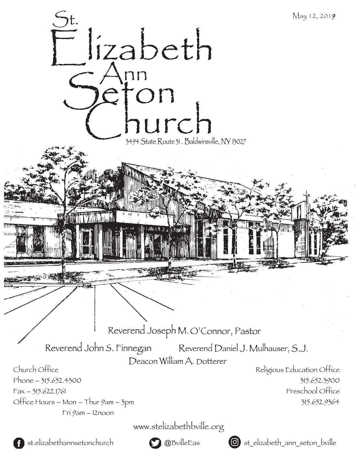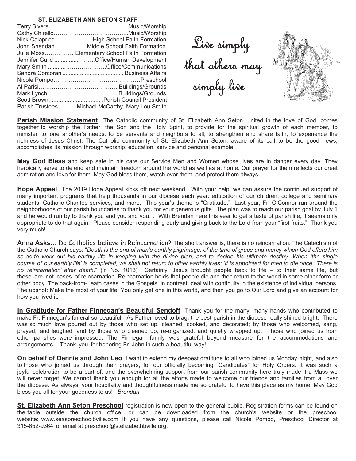## **ST. ELIZABETH ANN SETON STAFF**

| John Sheridan Middle School Faith Formation      |
|--------------------------------------------------|
| Julie Moss Elementary School Faith Formation     |
| Jennifer Guild Office/Human Development          |
|                                                  |
|                                                  |
|                                                  |
|                                                  |
|                                                  |
|                                                  |
| Parish Trustees Michael McCarthy, Mary Lou Smith |

Live simply<br>that others may<br>simply live



**Parish Mission Statement** The Catholic community of St. Elizabeth Ann Seton, united in the love of God, comes together to worship the Father, the Son and the Holy Spirit, to provide for the spiritual growth of each member, to minister to one another's needs, to be servants and neighbors to all, to strengthen and share faith, to experience the richness of Jesus Christ. The Catholic community of St. Elizabeth Ann Seton, aware of its call to be the good news, accomplishes its mission through worship, education, service and personal example.

**May God Bless** and keep safe in his care our Service Men and Women whose lives are in danger every day. They heroically serve to defend and maintain freedom around the world as well as at home. Our prayer for them reflects our great admiration and love for them. May God bless them, watch over them, and protect them always.

**Hope Appeal** The 2019 Hope Appeal kicks off next weekend. With your help, we can assure the continued support of many important programs that help thousands in our diocese each year: education of our children, college and seminary students, Catholic Charites services, and more. This year's theme is "Gratitude." Last year, Fr. O'Connor ran around the neighborhoods of our parish boundaries to thank you for your generous gifts. The plan was to reach our parish goal by July 1 and he would run by to thank you and you and you... With Brendan here this year to get a taste of parish life, it seems only appropriate to do that again. Please consider responding early and giving back to the Lord from your "first fruits." Thank you very much!

Anna Asks... Do Catholics believe in Reincarnation? The short answer is, there is no reincarnation. The Catechism of the Catholic Church says: "*Death is the end of man's earthly pilgrimage, of the time of grace and mercy which God offers him*  so as to work out his earthly life in keeping with the divine plan, and to decide his ultimate destiny. When 'the single *course of our earthly life' is completed, we shall not return to other earthly lives: 'It is appointed for men to die once.' There is no 'reincarnation' after death*." (in No. 1013) Certainly, Jesus brought people back to life – to their same life, but these are not cases of reincarnation. Reincarnation holds that people die and then return to the world in some other form or other body. The back-from- eath cases in the Gospels, in contrast, deal with continuity in the existence of individual persons. The upshot: Make the most of your life. You only get one in this world, and then you go to Our Lord and give an account for how you lived it.

**In Gratitude for Father Finnegan's Beautiful Sendoff** Thank you for the many, many hands who contributed to make Fr. Finnegan's funeral so beautiful. As Father loved to brag, the best parish in the diocese really shined bright. There was so much love poured out by those who set up, cleaned, cooked, and decorated; by those who welcomed, sang, prayed, and laughed; and by those who cleaned up, re-organized, and quietly wrapped up. Those who joined us from other parishes were impressed. The Finnegan family was grateful beyond measure for the accommodations and arrangements. Thank you for honoring Fr. John in such a beautiful way!

**On behalf of Dennis and John Leo**, I want to extend my deepest gratitude to all who joined us Monday night, and also to those who joined us through their prayers, for our officially becoming "Candidates" for Holy Orders. It was such a joyful celebration to be a part of, and the overwhelming support from our parish community here truly made it a Mass we will never forget. We cannot thank you enough for all the efforts made to welcome our friends and families from all over the diocese. As always, your hospitality and thoughtfulness made me so grateful to have this place as my home! May God bless you all for your goodness to us! –*Brendan*

**St. Elizabeth Ann Seton Preschool** registration is now open to the general public. Registration forms can be found on the table outside the church office, or can be downloaded from the church's website or the preschool website: www.seaspreschoolbville.com If you have any questions, please call Nicole Pompo, Preschool Director at 315-652-9364 or email at preschool@stelizabethbville.org.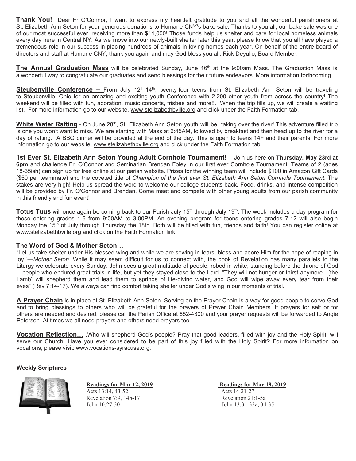**Thank You!** Dear Fr O'Connor, I want to express my heartfelt gratitude to you and all the wonderful parishioners at St. Elizabeth Ann Seton for your generous donations to Humane CNY's bake sale. Thanks to you all, our bake sale was one of our most successful ever, receiving more than \$11,000! Those funds help us shelter and care for local homeless animals every day here in Central NY. As we move into our newly-built shelter later this year, please know that you all have played a tremendous role in our success in placing hundreds of animals in loving homes each year. On behalf of the entire board of directors and staff at Humane CNY, thank you again and may God bless you all. Rick Deyulio, Board Member.

**The Annual Graduation Mass** will be celebrated Sunday, June 16<sup>th</sup> at the 9:00am Mass. The Graduation Mass is a wonderful way to congratulate our graduates and send blessings for their future endeavors. More information forthcoming.

**Steubenville Conference –** From July 12<sup>th</sup>-14<sup>th</sup>, twenty-four teens from St. Elizabeth Ann Seton will be traveling to Steubenville, Ohio for an amazing and exciting youth Conference with 2,200 other youth from across the country! The weekend will be filled with fun, adoration, music concerts, frisbee and more!!. When the trip fills up, we will create a waiting list. For more information go to our website, www.stelizabethbville.org and click under the Faith Formation tab.

**White Water Rafting** - On June 28<sup>th</sup>, St. Elizabeth Ann Seton youth will be taking over the river! This adventure filled trip is one you won't want to miss. We are starting with Mass at 6:45AM, followed by breakfast and then head up to the river for a day of rafting. A BBQ dinner will be provided at the end of the day. This is open to teens 14+ and their parents. For more information go to our website, www.stelizabethbville.org and click under the Faith Formation tab.

**1st Ever St. Elizabeth Ann Seton Young Adult Cornhole Tournament!** -- Join us here on **Thursday, May 23rd at 6pm** and challenge Fr. O'Connor and Seminarian Brendan Foley in our first ever Cornhole Tournament! Teams of 2 (ages 18-35ish) can sign up for free online at our parish website. Prizes for the winning team will include \$100 in Amazon Gift Cards (\$50 per teammate) and the coveted title of *Champion of the first ever St. Elizabeth Ann Seton Cornhole Tournament*. The stakes are very high! Help us spread the word to welcome our college students back. Food, drinks, and intense competition will be provided by Fr. O'Connor and Brendan. Come meet and compete with other young adults from our parish community in this friendly and fun event!

**Totus Tuus** will once again be coming back to our Parish July 15<sup>th</sup> through July 19<sup>th</sup>. The week includes a day program for those entering grades 1-6 from 9:00AM to 3:00PM. An evening program for teens entering grades 7-12 will also begin Monday the 15<sup>th</sup> of July through Thursday the 18th. Both will be filled with fun, friends and faith! You can register online at www.stelizabethbville.org and click on the Faith Formation link.

## **The Word of God & Mother Seton…**

"Let us take shelter under His blessed wing and while we are sowing in tears, bless and adore Him for the hope of reaping in joy."—*Mother Seton.* While it may seem difficult for us to connect with, the book of Revelation has many parallels to the Liturgy we celebrate every Sunday. John sees a great multitude of people, robed in white, standing before the throne of God -people who endured great trials in life, but yet they stayed close to the Lord. "They will not hunger or thirst anymore... [the Lamb] will shepherd them and lead them to springs of life-giving water, and God will wipe away every tear from their eyes" (Rev 7:14-17). We always can find comfort taking shelter under God's wing in our moments of trial.

**A Prayer Chain** is in place at St. Elizabeth Ann Seton. Serving on the Prayer Chain is a way for good people to serve God and to bring blessings to others who will be grateful for the prayers of Prayer Chain Members. If prayers for self or for others are needed and desired, please call the Parish Office at 652-4300 and your prayer requests will be forwarded to Angie Peterson. At times we all need prayers and others need prayers too.

**Vocation Reflection...** Who will shepherd God's people? Pray that good leaders, filled with joy and the Holy Spirit, will serve our Church. Have you ever considered to be part of this joy filled with the Holy Spirit? For more information on vocations, please visit: www.vocations-syracuse.org.

### **Weekly Scriptures**



**Readings for May 12, 2019 Readings for May 19, 2019** Acts 13:14, 43-52 Acts 14:21-27 Revelation 7:9, 14b-17 Revelation 21:1-5a John 10:27-30 John 13:31-33a, 34-35